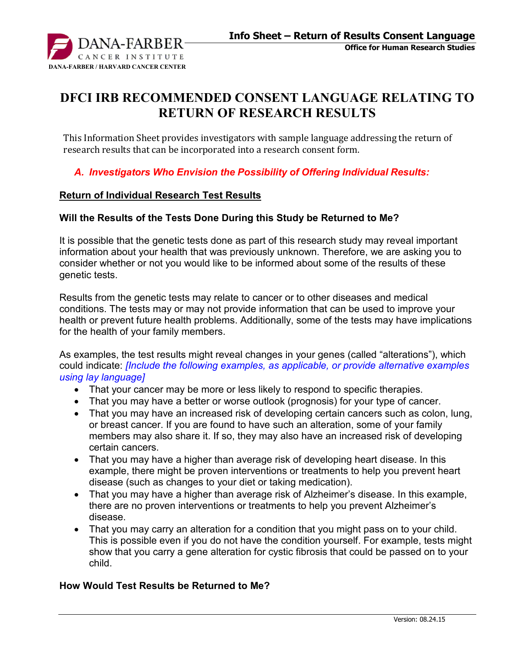

# **DFCI IRB RECOMMENDED CONSENT LANGUAGE RELATING TO RETURN OF RESEARCH RESULTS**

This Information Sheet provides investigators with sample language addressing the return of research results that can be incorporated into a research consent form.

*A. Investigators Who Envision the Possibility of Offering Individual Results:*

#### **Return of Individual Research Test Results**

#### **Will the Results of the Tests Done During this Study be Returned to Me?**

It is possible that the genetic tests done as part of this research study may reveal important information about your health that was previously unknown. Therefore, we are asking you to consider whether or not you would like to be informed about some of the results of these genetic tests.

Results from the genetic tests may relate to cancer or to other diseases and medical conditions. The tests may or may not provide information that can be used to improve your health or prevent future health problems. Additionally, some of the tests may have implications for the health of your family members.

As examples, the test results might reveal changes in your genes (called "alterations"), which could indicate: *[Include the following examples, as applicable, or provide alternative examples using lay language]* 

- That your cancer may be more or less likely to respond to specific therapies.
- That you may have a better or worse outlook (prognosis) for your type of cancer.
- That you may have an increased risk of developing certain cancers such as colon, lung, or breast cancer. If you are found to have such an alteration, some of your family members may also share it. If so, they may also have an increased risk of developing certain cancers.
- That you may have a higher than average risk of developing heart disease. In this example, there might be proven interventions or treatments to help you prevent heart disease (such as changes to your diet or taking medication).
- That you may have a higher than average risk of Alzheimer's disease. In this example, there are no proven interventions or treatments to help you prevent Alzheimer's disease.
- That you may carry an alteration for a condition that you might pass on to your child. This is possible even if you do not have the condition yourself. For example, tests might show that you carry a gene alteration for cystic fibrosis that could be passed on to your child.

#### **How Would Test Results be Returned to Me?**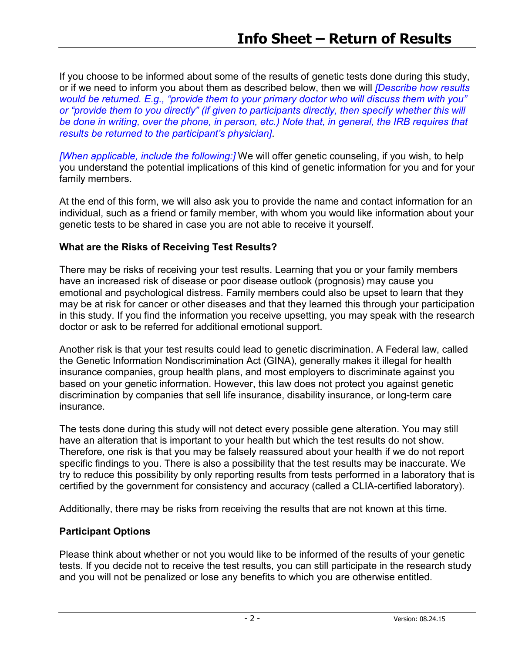If you choose to be informed about some of the results of genetic tests done during this study, or if we need to inform you about them as described below, then we will *[Describe how results would be returned. E.g., "provide them to your primary doctor who will discuss them with you" or "provide them to you directly" (if given to participants directly, then specify whether this will be done in writing, over the phone, in person, etc.) Note that, in general, the IRB requires that results be returned to the participant's physician]*.

*[When applicable, include the following:]* We will offer genetic counseling, if you wish, to help you understand the potential implications of this kind of genetic information for you and for your family members.

At the end of this form, we will also ask you to provide the name and contact information for an individual, such as a friend or family member, with whom you would like information about your genetic tests to be shared in case you are not able to receive it yourself.

### **What are the Risks of Receiving Test Results?**

There may be risks of receiving your test results. Learning that you or your family members have an increased risk of disease or poor disease outlook (prognosis) may cause you emotional and psychological distress. Family members could also be upset to learn that they may be at risk for cancer or other diseases and that they learned this through your participation in this study. If you find the information you receive upsetting, you may speak with the research doctor or ask to be referred for additional emotional support.

Another risk is that your test results could lead to genetic discrimination. A Federal law, called the Genetic Information Nondiscrimination Act (GINA), generally makes it illegal for health insurance companies, group health plans, and most employers to discriminate against you based on your genetic information. However, this law does not protect you against genetic discrimination by companies that sell life insurance, disability insurance, or long-term care insurance.

The tests done during this study will not detect every possible gene alteration. You may still have an alteration that is important to your health but which the test results do not show. Therefore, one risk is that you may be falsely reassured about your health if we do not report specific findings to you. There is also a possibility that the test results may be inaccurate. We try to reduce this possibility by only reporting results from tests performed in a laboratory that is certified by the government for consistency and accuracy (called a CLIA-certified laboratory).

Additionally, there may be risks from receiving the results that are not known at this time.

### **Participant Options**

Please think about whether or not you would like to be informed of the results of your genetic tests. If you decide not to receive the test results, you can still participate in the research study and you will not be penalized or lose any benefits to which you are otherwise entitled.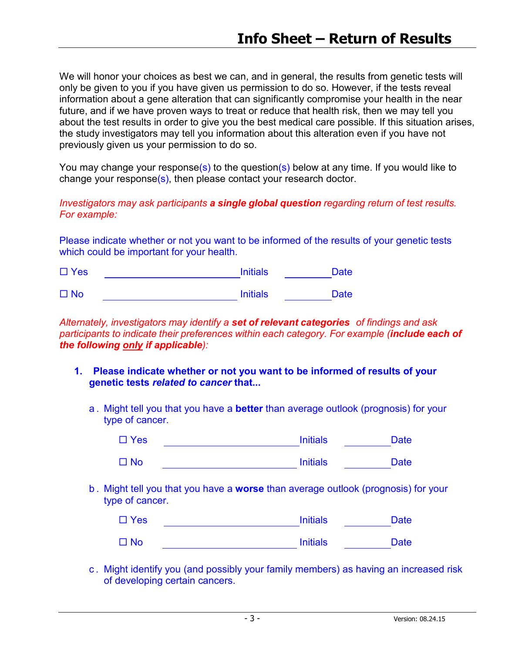We will honor your choices as best we can, and in general, the results from genetic tests will only be given to you if you have given us permission to do so. However, if the tests reveal information about a gene alteration that can significantly compromise your health in the near future, and if we have proven ways to treat or reduce that health risk, then we may tell you about the test results in order to give you the best medical care possible. If this situation arises, the study investigators may tell you information about this alteration even if you have not previously given us your permission to do so.

You may change your response(s) to the question(s) below at any time. If you would like to change your response(s), then please contact your research doctor.

#### *Investigators may ask participants a single global question regarding return of test results. For example:*

Please indicate whether or not you want to be informed of the results of your genetic tests which could be important for your health.

| $\Box$ Yes | <b>Initials</b> |             |
|------------|-----------------|-------------|
| $\Box$ No  | <b>Initials</b> | <b>Date</b> |

*Alternately, investigators may identify a set of relevant categories of findings and ask participants to indicate their preferences within each category. For example (include each of the following only if applicable):*

- **1. Please indicate whether or not you want to be informed of results of your genetic tests** *related to cancer* **that...**
	- a . Might tell you that you have a **better** than average outlook (prognosis) for your type of cancer.

| $\Box$ Yes | <b>Initials</b> | <b>Date</b> |
|------------|-----------------|-------------|
|            |                 |             |

| $\Box$ No | <b>Initials</b> | Date |
|-----------|-----------------|------|
|           |                 |      |

b . Might tell you that you have a **worse** than average outlook (prognosis) for your type of cancer.

| $\Box$ Yes | <b>Initials</b> | Date |
|------------|-----------------|------|
| $\Box$ No  | <b>Initials</b> | Date |

c . Might identify you (and possibly your family members) as having an increased risk of developing certain cancers.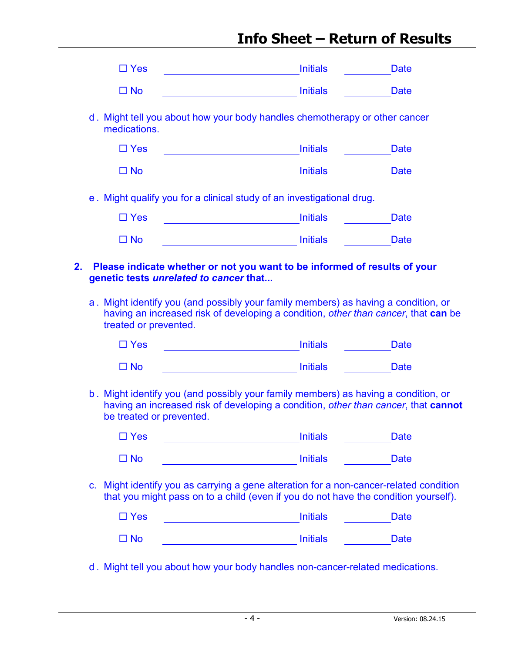# **Info Sheet – Return of Results**

| $\Box$ Yes               | <b>Initials</b>                                                                                                                                                                                           | <b>Date</b> |
|--------------------------|-----------------------------------------------------------------------------------------------------------------------------------------------------------------------------------------------------------|-------------|
| $\Box$ No                | <b>Initials</b>                                                                                                                                                                                           | <b>Date</b> |
| medications.             | d. Might tell you about how your body handles chemotherapy or other cancer                                                                                                                                |             |
| $\Box$ Yes               |                                                                                                                                                                                                           | <b>Date</b> |
| $\Box$ No                | <b>Initials</b>                                                                                                                                                                                           | <b>Date</b> |
|                          | e. Might qualify you for a clinical study of an investigational drug.                                                                                                                                     |             |
| $\Box$ Yes               | <b>Initials</b>                                                                                                                                                                                           | <b>Date</b> |
| $\Box$ No                | <b>Initials</b>                                                                                                                                                                                           | <b>Date</b> |
|                          | Please indicate whether or not you want to be informed of results of your<br>genetic tests unrelated to cancer that<br>a. Might identify you (and possibly your family members) as having a condition, or |             |
|                          |                                                                                                                                                                                                           |             |
|                          | having an increased risk of developing a condition, other than cancer, that can be                                                                                                                        |             |
| treated or prevented.    |                                                                                                                                                                                                           |             |
| $\Box$ Yes               | <b>Initials</b>                                                                                                                                                                                           | <b>Date</b> |
| $\Box$ No                | <b>Initials</b>                                                                                                                                                                                           | <b>Date</b> |
| be treated or prevented. | b. Might identify you (and possibly your family members) as having a condition, or<br>having an increased risk of developing a condition, other than cancer, that cannot                                  |             |
| $\Box$ Yes               | <b>Initials</b>                                                                                                                                                                                           | <b>Date</b> |
| $\square$ No             | <b>Initials</b>                                                                                                                                                                                           | <b>Date</b> |
| $\mathbf{C}$ .           | Might identify you as carrying a gene alteration for a non-cancer-related condition<br>that you might pass on to a child (even if you do not have the condition yourself).                                |             |
| $\Box$ Yes               | <b>Initials</b>                                                                                                                                                                                           | <b>Date</b> |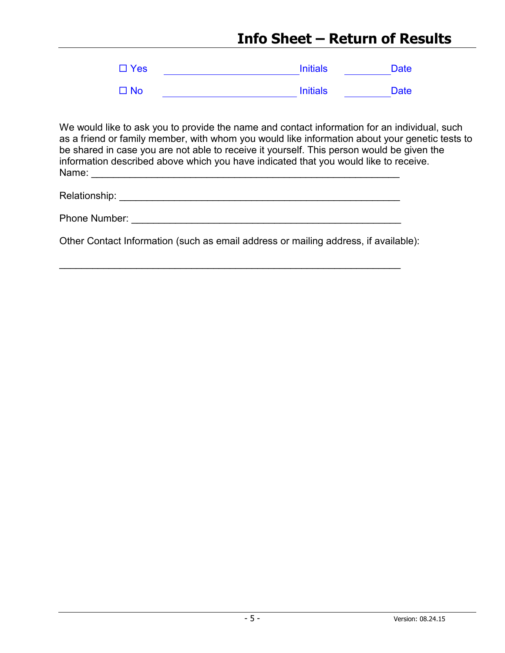# **Info Sheet – Return of Results**

| $\square$ Yes | <b>Initials</b> | <b>Date</b> |
|---------------|-----------------|-------------|
| $\square$ No  | <b>Initials</b> | <b>Date</b> |

We would like to ask you to provide the name and contact information for an individual, such as a friend or family member, with whom you would like information about your genetic tests to be shared in case you are not able to receive it yourself. This person would be given the information described above which you have indicated that you would like to receive. Name: \_\_\_\_\_\_\_\_\_\_\_\_\_\_\_\_\_\_\_\_\_\_\_\_\_\_\_\_\_\_\_\_\_\_\_\_\_\_\_\_\_\_\_\_\_\_\_\_\_\_\_\_\_\_\_\_

| Relationship: |
|---------------|
|---------------|

\_\_\_\_\_\_\_\_\_\_\_\_\_\_\_\_\_\_\_\_\_\_\_\_\_\_\_\_\_\_\_\_\_\_\_\_\_\_\_\_\_\_\_\_\_\_\_\_\_\_\_\_\_\_\_\_\_\_\_\_\_\_

Other Contact Information (such as email address or mailing address, if available):